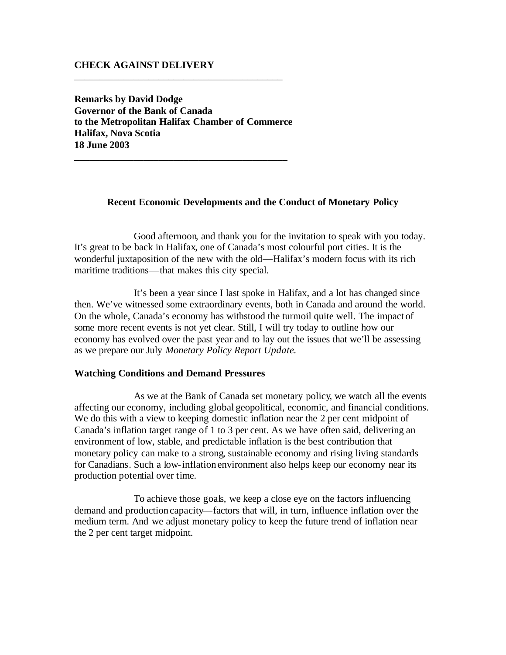# **CHECK AGAINST DELIVERY**

**Remarks by David Dodge Governor of the Bank of Canada to the Metropolitan Halifax Chamber of Commerce Halifax, Nova Scotia 18 June 2003**

**\_\_\_\_\_\_\_\_\_\_\_\_\_\_\_\_\_\_\_\_\_\_\_\_\_\_\_\_\_\_\_\_\_\_\_\_\_\_\_\_\_\_\_**

\_\_\_\_\_\_\_\_\_\_\_\_\_\_\_\_\_\_\_\_\_\_\_\_\_\_\_\_\_\_\_\_\_\_\_\_\_\_\_\_\_\_

# **Recent Economic Developments and the Conduct of Monetary Policy**

Good afternoon, and thank you for the invitation to speak with you today. It's great to be back in Halifax, one of Canada's most colourful port cities. It is the wonderful juxtaposition of the new with the old—Halifax's modern focus with its rich maritime traditions—that makes this city special.

It's been a year since I last spoke in Halifax, and a lot has changed since then. We've witnessed some extraordinary events, both in Canada and around the world. On the whole, Canada's economy has withstood the turmoil quite well. The impact of some more recent events is not yet clear. Still, I will try today to outline how our economy has evolved over the past year and to lay out the issues that we'll be assessing as we prepare our July *Monetary Policy Report Update*.

### **Watching Conditions and Demand Pressures**

As we at the Bank of Canada set monetary policy, we watch all the events affecting our economy, including global geopolitical, economic, and financial conditions. We do this with a view to keeping domestic inflation near the 2 per cent midpoint of Canada's inflation target range of 1 to 3 per cent. As we have often said, delivering an environment of low, stable, and predictable inflation is the best contribution that monetary policy can make to a strong, sustainable economy and rising living standards for Canadians. Such a low-inflation environment also helps keep our economy near its production potential over time.

To achieve those goals, we keep a close eye on the factors influencing demand and production capacity—factors that will, in turn, influence inflation over the medium term. And we adjust monetary policy to keep the future trend of inflation near the 2 per cent target midpoint.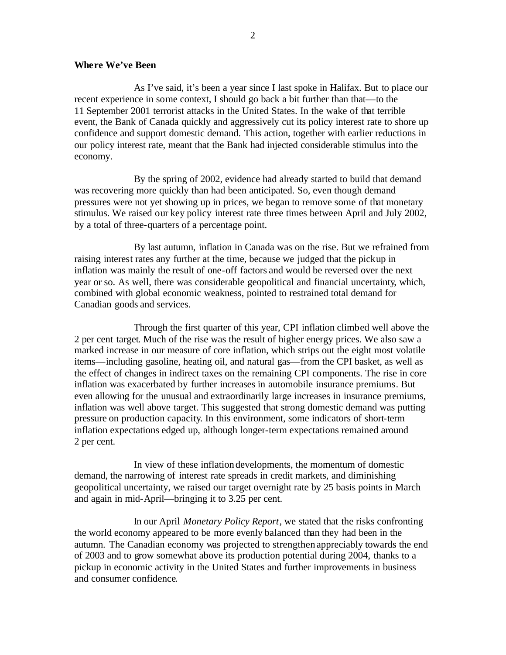## **Where We've Been**

As I've said, it's been a year since I last spoke in Halifax. But to place our recent experience in some context, I should go back a bit further than that—to the 11 September 2001 terrorist attacks in the United States. In the wake of that terrible event, the Bank of Canada quickly and aggressively cut its policy interest rate to shore up confidence and support domestic demand. This action, together with earlier reductions in our policy interest rate, meant that the Bank had injected considerable stimulus into the economy.

By the spring of 2002, evidence had already started to build that demand was recovering more quickly than had been anticipated. So, even though demand pressures were not yet showing up in prices, we began to remove some of that monetary stimulus. We raised our key policy interest rate three times between April and July 2002, by a total of three-quarters of a percentage point.

By last autumn, inflation in Canada was on the rise. But we refrained from raising interest rates any further at the time, because we judged that the pickup in inflation was mainly the result of one-off factors and would be reversed over the next year or so. As well, there was considerable geopolitical and financial uncertainty, which, combined with global economic weakness, pointed to restrained total demand for Canadian goods and services.

Through the first quarter of this year, CPI inflation climbed well above the 2 per cent target. Much of the rise was the result of higher energy prices. We also saw a marked increase in our measure of core inflation, which strips out the eight most volatile items—including gasoline, heating oil, and natural gas—from the CPI basket, as well as the effect of changes in indirect taxes on the remaining CPI components. The rise in core inflation was exacerbated by further increases in automobile insurance premiums. But even allowing for the unusual and extraordinarily large increases in insurance premiums, inflation was well above target. This suggested that strong domestic demand was putting pressure on production capacity. In this environment, some indicators of short-term inflation expectations edged up, although longer-term expectations remained around 2 per cent.

In view of these inflation developments, the momentum of domestic demand, the narrowing of interest rate spreads in credit markets, and diminishing geopolitical uncertainty, we raised our target overnight rate by 25 basis points in March and again in mid-April—bringing it to 3.25 per cent.

In our April *Monetary Policy Report*, we stated that the risks confronting the world economy appeared to be more evenly balanced than they had been in the autumn. The Canadian economy was projected to strengthen appreciably towards the end of 2003 and to grow somewhat above its production potential during 2004, thanks to a pickup in economic activity in the United States and further improvements in business and consumer confidence.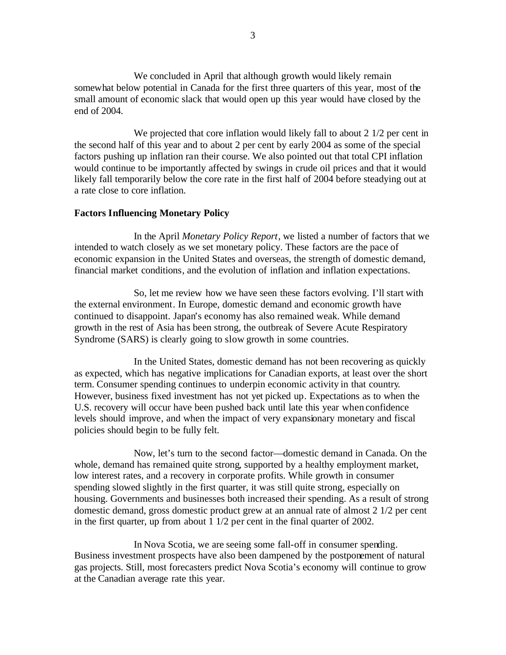We concluded in April that although growth would likely remain somewhat below potential in Canada for the first three quarters of this year, most of the small amount of economic slack that would open up this year would have closed by the end of 2004.

We projected that core inflation would likely fall to about 2  $1/2$  per cent in the second half of this year and to about 2 per cent by early 2004 as some of the special factors pushing up inflation ran their course. We also pointed out that total CPI inflation would continue to be importantly affected by swings in crude oil prices and that it would likely fall temporarily below the core rate in the first half of 2004 before steadying out at a rate close to core inflation.

#### **Factors Influencing Monetary Policy**

In the April *Monetary Policy Report*, we listed a number of factors that we intended to watch closely as we set monetary policy. These factors are the pace of economic expansion in the United States and overseas, the strength of domestic demand, financial market conditions, and the evolution of inflation and inflation expectations.

So, let me review how we have seen these factors evolving. I'll start with the external environment. In Europe, domestic demand and economic growth have continued to disappoint. Japan's economy has also remained weak. While demand growth in the rest of Asia has been strong, the outbreak of Severe Acute Respiratory Syndrome (SARS) is clearly going to slow growth in some countries.

In the United States, domestic demand has not been recovering as quickly as expected, which has negative implications for Canadian exports, at least over the short term. Consumer spending continues to underpin economic activity in that country. However, business fixed investment has not yet picked up. Expectations as to when the U.S. recovery will occur have been pushed back until late this year when confidence levels should improve, and when the impact of very expansionary monetary and fiscal policies should begin to be fully felt.

Now, let's turn to the second factor—domestic demand in Canada. On the whole, demand has remained quite strong, supported by a healthy employment market, low interest rates, and a recovery in corporate profits. While growth in consumer spending slowed slightly in the first quarter, it was still quite strong, especially on housing. Governments and businesses both increased their spending. As a result of strong domestic demand, gross domestic product grew at an annual rate of almost 2 1/2 per cent in the first quarter, up from about 1 1/2 per cent in the final quarter of 2002.

In Nova Scotia, we are seeing some fall-off in consumer spending. Business investment prospects have also been dampened by the postponement of natural gas projects. Still, most forecasters predict Nova Scotia's economy will continue to grow at the Canadian average rate this year.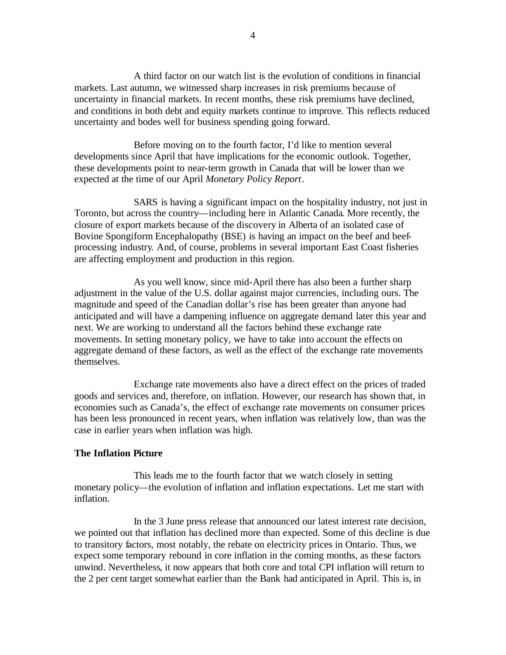A third factor on our watch list is the evolution of conditions in financial markets. Last autumn, we witnessed sharp increases in risk premiums because of uncertainty in financial markets. In recent months, these risk premiums have declined, and conditions in both debt and equity markets continue to improve. This reflects reduced uncertainty and bodes well for business spending going forward.

Before moving on to the fourth factor, I'd like to mention several developments since April that have implications for the economic outlook. Together, these developments point to near-term growth in Canada that will be lower than we expected at the time of our April *Monetary Policy Report*.

SARS is having a significant impact on the hospitality industry, not just in Toronto, but across the country—including here in Atlantic Canada. More recently, the closure of export markets because of the discovery in Alberta of an isolated case of Bovine Spongiform Encephalopathy (BSE) is having an impact on the beef and beefprocessing industry. And, of course, problems in several important East Coast fisheries are affecting employment and production in this region.

As you well know, since mid-April there has also been a further sharp adjustment in the value of the U.S. dollar against major currencies, including ours. The magnitude and speed of the Canadian dollar's rise has been greater than anyone had anticipated and will have a dampening influence on aggregate demand later this year and next. We are working to understand all the factors behind these exchange rate movements. In setting monetary policy, we have to take into account the effects on aggregate demand of these factors, as well as the effect of the exchange rate movements themselves.

Exchange rate movements also have a direct effect on the prices of traded goods and services and, therefore, on inflation. However, our research has shown that, in economies such as Canada's, the effect of exchange rate movements on consumer prices has been less pronounced in recent years, when inflation was relatively low, than was the case in earlier years when inflation was high.

### **The Inflation Picture**

This leads me to the fourth factor that we watch closely in setting monetary policy—the evolution of inflation and inflation expectations. Let me start with inflation.

In the 3 June press release that announced our latest interest rate decision, we pointed out that inflation has declined more than expected. Some of this decline is due to transitory factors, most notably, the rebate on electricity prices in Ontario. Thus, we expect some temporary rebound in core inflation in the coming months, as these factors unwind. Nevertheless, it now appears that both core and total CPI inflation will return to the 2 per cent target somewhat earlier than the Bank had anticipated in April. This is, in